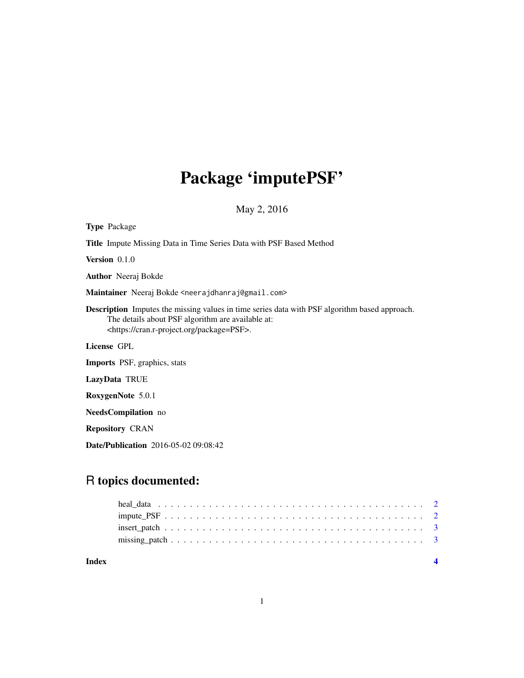## Package 'imputePSF'

May 2, 2016

| <b>Type</b> Package                                                                                                                                                                                                 |
|---------------------------------------------------------------------------------------------------------------------------------------------------------------------------------------------------------------------|
| <b>Title</b> Impute Missing Data in Time Series Data with PSF Based Method                                                                                                                                          |
| <b>Version</b> $0.1.0$                                                                                                                                                                                              |
| <b>Author</b> Neeraj Bokde                                                                                                                                                                                          |
| Maintainer Neeraj Bokde <neerajdhanraj@gmail.com></neerajdhanraj@gmail.com>                                                                                                                                         |
| <b>Description</b> Imputes the missing values in time series data with PSF algorithm based approach.<br>The details about PSF algorithm are available at:<br><https: cran.r-project.org="" package="PSF">.</https:> |
| License GPL                                                                                                                                                                                                         |
| <b>Imports</b> PSF, graphics, stats                                                                                                                                                                                 |
| LazyData TRUE                                                                                                                                                                                                       |
| RoxygenNote 5.0.1                                                                                                                                                                                                   |
| <b>NeedsCompilation</b> no                                                                                                                                                                                          |
| <b>Repository CRAN</b>                                                                                                                                                                                              |

Date/Publication 2016-05-02 09:08:42

### R topics documented:

**Index** [4](#page-3-0)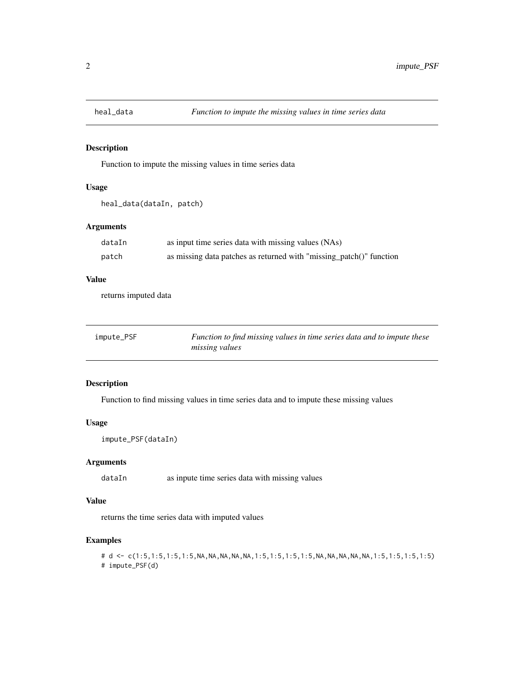<span id="page-1-0"></span>

#### Description

Function to impute the missing values in time series data

#### Usage

```
heal_data(dataIn, patch)
```
#### Arguments

| dataIn | as input time series data with missing values (NAs)                 |
|--------|---------------------------------------------------------------------|
| patch  | as missing data patches as returned with "missing_patch()" function |

#### Value

returns imputed data

| impute_PSF | Function to find missing values in time series data and to impute these |
|------------|-------------------------------------------------------------------------|
|            | <i>missing values</i>                                                   |

#### Description

Function to find missing values in time series data and to impute these missing values

#### Usage

```
impute_PSF(dataIn)
```
#### Arguments

dataIn as inpute time series data with missing values

#### Value

returns the time series data with imputed values

#### Examples

```
# d <- c(1:5,1:5,1:5,1:5,NA,NA,NA,NA,NA,1:5,1:5,1:5,1:5,NA,NA,NA,NA,NA,1:5,1:5,1:5,1:5)
# impute_PSF(d)
```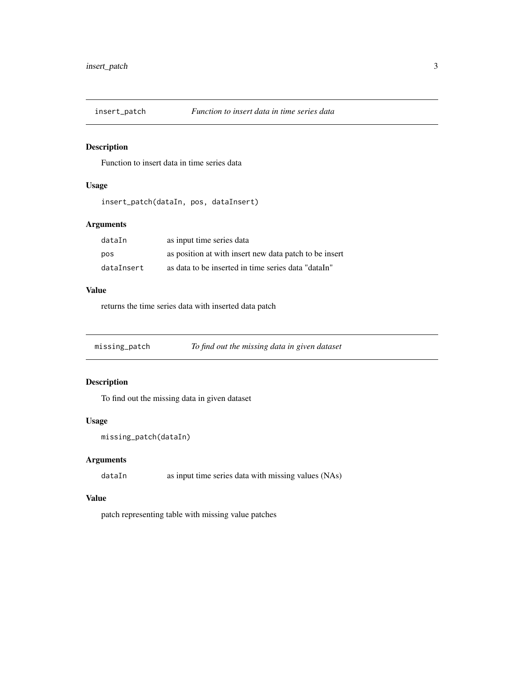<span id="page-2-0"></span>

#### Description

Function to insert data in time series data

#### Usage

```
insert_patch(dataIn, pos, dataInsert)
```
#### Arguments

| dataIn     | as input time series data                              |
|------------|--------------------------------------------------------|
| pos        | as position at with insert new data patch to be insert |
| dataInsert | as data to be inserted in time series data "dataIn"    |

#### Value

returns the time series data with inserted data patch

missing\_patch *To find out the missing data in given dataset*

#### Description

To find out the missing data in given dataset

#### Usage

```
missing_patch(dataIn)
```
#### Arguments

dataIn as input time series data with missing values (NAs)

#### Value

patch representing table with missing value patches